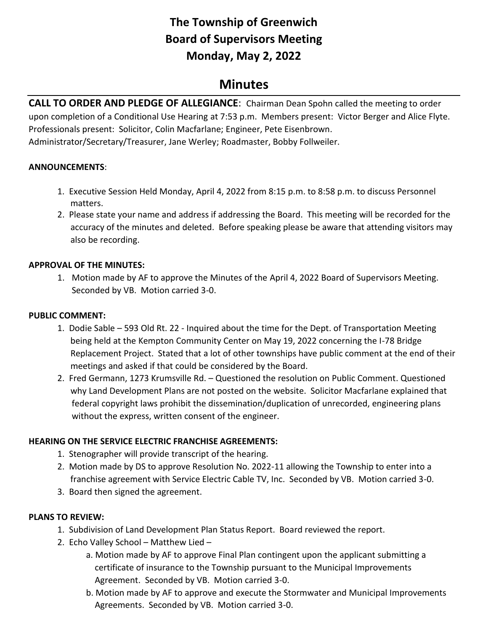# **The Township of Greenwich Board of Supervisors Meeting Monday, May 2, 2022**

## **Minutes**

**CALL TO ORDER AND PLEDGE OF ALLEGIANCE**: Chairman Dean Spohn called the meeting to order upon completion of a Conditional Use Hearing at 7:53 p.m. Members present: Victor Berger and Alice Flyte. Professionals present: Solicitor, Colin Macfarlane; Engineer, Pete Eisenbrown. Administrator/Secretary/Treasurer, Jane Werley; Roadmaster, Bobby Follweiler.

## **ANNOUNCEMENTS**:

- 1. Executive Session Held Monday, April 4, 2022 from 8:15 p.m. to 8:58 p.m. to discuss Personnel matters.
- 2. Please state your name and address if addressing the Board. This meeting will be recorded for the accuracy of the minutes and deleted. Before speaking please be aware that attending visitors may also be recording.

## **APPROVAL OF THE MINUTES:**

1. Motion made by AF to approve the Minutes of the April 4, 2022 Board of Supervisors Meeting. Seconded by VB. Motion carried 3-0.

## **PUBLIC COMMENT:**

- 1. Dodie Sable 593 Old Rt. 22 Inquired about the time for the Dept. of Transportation Meeting being held at the Kempton Community Center on May 19, 2022 concerning the I-78 Bridge Replacement Project. Stated that a lot of other townships have public comment at the end of their meetings and asked if that could be considered by the Board.
- 2. Fred Germann, 1273 Krumsville Rd. Questioned the resolution on Public Comment. Questioned why Land Development Plans are not posted on the website. Solicitor Macfarlane explained that federal copyright laws prohibit the dissemination/duplication of unrecorded, engineering plans without the express, written consent of the engineer.

## **HEARING ON THE SERVICE ELECTRIC FRANCHISE AGREEMENTS:**

- 1. Stenographer will provide transcript of the hearing.
- 2. Motion made by DS to approve Resolution No. 2022-11 allowing the Township to enter into a franchise agreement with Service Electric Cable TV, Inc. Seconded by VB. Motion carried 3-0.
- 3. Board then signed the agreement.

## **PLANS TO REVIEW:**

- 1. Subdivision of Land Development Plan Status Report. Board reviewed the report.
- 2. Echo Valley School Matthew Lied
	- a. Motion made by AF to approve Final Plan contingent upon the applicant submitting a certificate of insurance to the Township pursuant to the Municipal Improvements Agreement. Seconded by VB. Motion carried 3-0.
	- b. Motion made by AF to approve and execute the Stormwater and Municipal Improvements Agreements. Seconded by VB. Motion carried 3-0.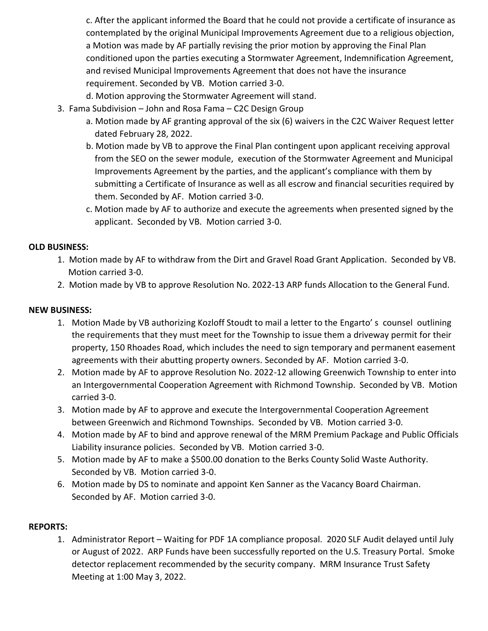c. After the applicant informed the Board that he could not provide a certificate of insurance as contemplated by the original Municipal Improvements Agreement due to a religious objection, a Motion was made by AF partially revising the prior motion by approving the Final Plan conditioned upon the parties executing a Stormwater Agreement, Indemnification Agreement, and revised Municipal Improvements Agreement that does not have the insurance requirement. Seconded by VB. Motion carried 3-0.

d. Motion approving the Stormwater Agreement will stand.

- 3. Fama Subdivision John and Rosa Fama C2C Design Group
	- a. Motion made by AF granting approval of the six (6) waivers in the C2C Waiver Request letter dated February 28, 2022.
	- b. Motion made by VB to approve the Final Plan contingent upon applicant receiving approval from the SEO on the sewer module, execution of the Stormwater Agreement and Municipal Improvements Agreement by the parties, and the applicant's compliance with them by submitting a Certificate of Insurance as well as all escrow and financial securities required by them. Seconded by AF. Motion carried 3-0.
	- c. Motion made by AF to authorize and execute the agreements when presented signed by the applicant. Seconded by VB. Motion carried 3-0.

## **OLD BUSINESS:**

- 1.Motion made by AF to withdraw from the Dirt and Gravel Road Grant Application. Seconded by VB. Motion carried 3-0.
- 2. Motion made by VB to approve Resolution No. 2022-13 ARP funds Allocation to the General Fund.

#### **NEW BUSINESS:**

- 1. Motion Made by VB authorizing Kozloff Stoudt to mail a letter to the Engarto' s counsel outlining the requirements that they must meet for the Township to issue them a driveway permit for their property, 150 Rhoades Road, which includes the need to sign temporary and permanent easement agreements with their abutting property owners. Seconded by AF. Motion carried 3-0.
- 2. Motion made by AF to approve Resolution No. 2022-12 allowing Greenwich Township to enter into an Intergovernmental Cooperation Agreement with Richmond Township. Seconded by VB. Motion carried 3-0.
- 3. Motion made by AF to approve and execute the Intergovernmental Cooperation Agreement between Greenwich and Richmond Townships. Seconded by VB. Motion carried 3-0.
- 4. Motion made by AF to bind and approve renewal of the MRM Premium Package and Public Officials Liability insurance policies. Seconded by VB. Motion carried 3-0.
- 5. Motion made by AF to make a \$500.00 donation to the Berks County Solid Waste Authority. Seconded by VB. Motion carried 3-0.
- 6. Motion made by DS to nominate and appoint Ken Sanner as the Vacancy Board Chairman. Seconded by AF. Motion carried 3-0.

#### **REPORTS:**

1. Administrator Report – Waiting for PDF 1A compliance proposal. 2020 SLF Audit delayed until July or August of 2022. ARP Funds have been successfully reported on the U.S. Treasury Portal. Smoke detector replacement recommended by the security company. MRM Insurance Trust Safety Meeting at 1:00 May 3, 2022.